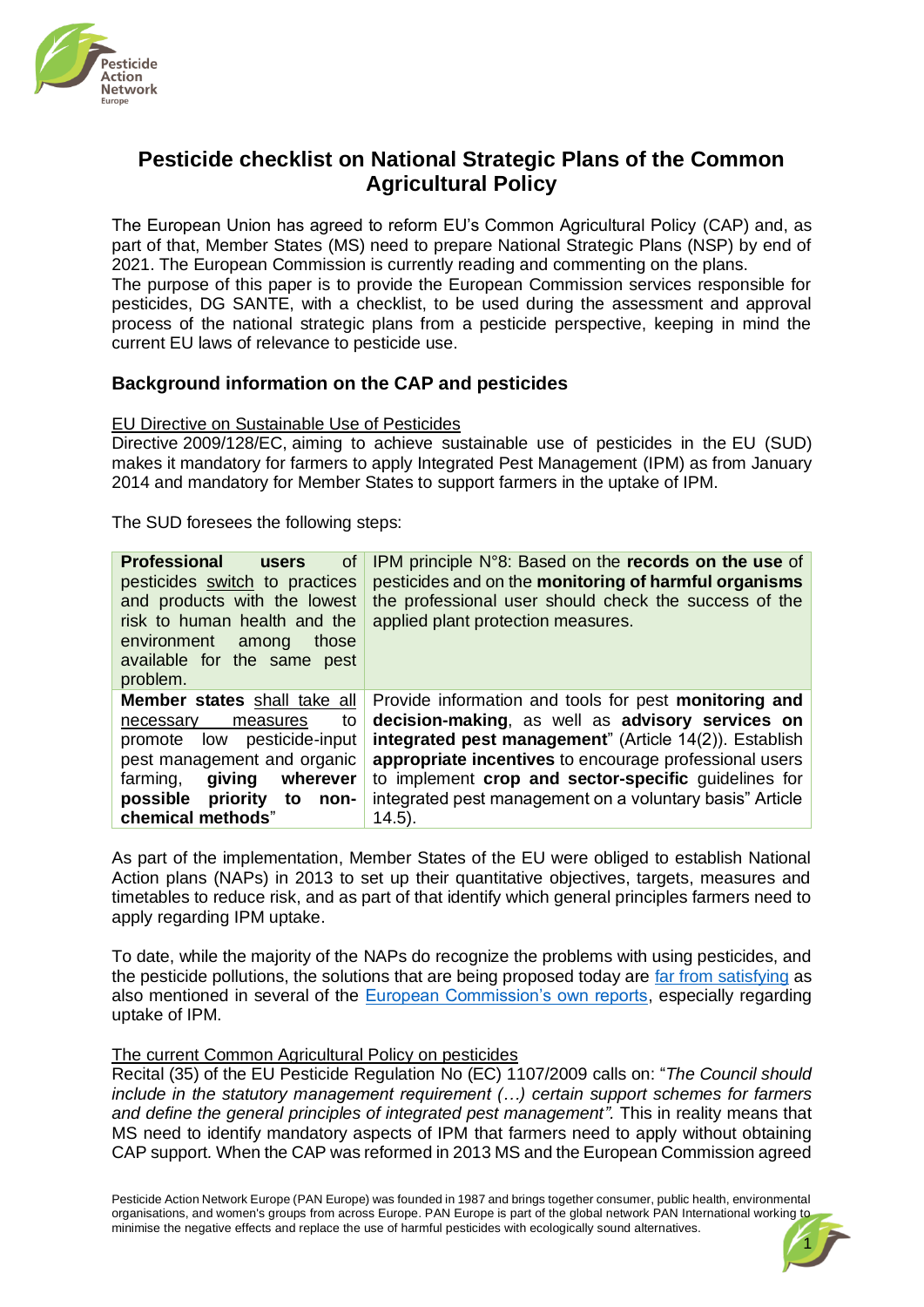

# **Pesticide checklist on National Strategic Plans of the Common Agricultural Policy**

The European Union has agreed to reform EU's Common Agricultural Policy (CAP) and, as part of that, Member States (MS) need to prepare National Strategic Plans (NSP) by end of 2021. The European Commission is currently reading and commenting on the plans. The purpose of this paper is to provide the European Commission services responsible for pesticides, DG SANTE, with a checklist, to be used during the assessment and approval process of the national strategic plans from a pesticide perspective, keeping in mind the current EU laws of relevance to pesticide use.

### **Background information on the CAP and pesticides**

### EU Directive on Sustainable Use of Pesticides

Directive 2009/128/EC, aiming to achieve sustainable use of pesticides in the EU (SUD) makes it mandatory for farmers to apply Integrated Pest Management (IPM) as from January 2014 and mandatory for Member States to support farmers in the uptake of IPM.

The SUD foresees the following steps:

| <b>Professional</b><br>0f<br><b>users</b><br>pesticides switch to practices<br>and products with the lowest<br>risk to human health and the<br>environment<br>those<br>among<br>available for the same pest<br>problem.    | IPM principle N°8: Based on the records on the use of<br>pesticides and on the monitoring of harmful organisms<br>the professional user should check the success of the<br>applied plant protection measures.                                                                                                                                                   |
|----------------------------------------------------------------------------------------------------------------------------------------------------------------------------------------------------------------------------|-----------------------------------------------------------------------------------------------------------------------------------------------------------------------------------------------------------------------------------------------------------------------------------------------------------------------------------------------------------------|
| <b>Member states</b> shall take all<br>to<br>measures<br>necessary<br>promote low pesticide-input<br>pest management and organic<br>qiving<br>wherever<br>farming,<br>possible priority<br>to<br>non-<br>chemical methods" | Provide information and tools for pest monitoring and<br>decision-making, as well as advisory services on<br>integrated pest management" (Article 14(2)). Establish<br>appropriate incentives to encourage professional users<br>to implement crop and sector-specific guidelines for<br>integrated pest management on a voluntary basis" Article<br>$(14.5)$ . |

As part of the implementation, Member States of the EU were obliged to establish National Action plans (NAPs) in 2013 to set up their quantitative objectives, targets, measures and timetables to reduce risk, and as part of that identify which general principles farmers need to apply regarding IPM uptake.

To date, while the majority of the NAPs do recognize the problems with using pesticides, and the pesticide pollutions, the solutions that are being proposed today are [far from satisfying](https://www.pan-europe.info/sites/pan-europe.info/files/public/resources/reports/pane-2013-reducing-pesticide-use-across-the-eu.pdf) as also mentioned in several of the [European Commission's own reports,](https://ec.europa.eu/food/plants/pesticides/sustainable-use-pesticides_en) especially regarding uptake of IPM.

#### The current Common Agricultural Policy on pesticides

Recital (35) of the EU Pesticide Regulation No (EC) 1107/2009 calls on: "*The Council should include in the statutory management requirement (…) certain support schemes for farmers and define the general principles of integrated pest management".* This in reality means that MS need to identify mandatory aspects of IPM that farmers need to apply without obtaining CAP support*.* When the CAP was reformed in 2013 MS and the European Commission agreed

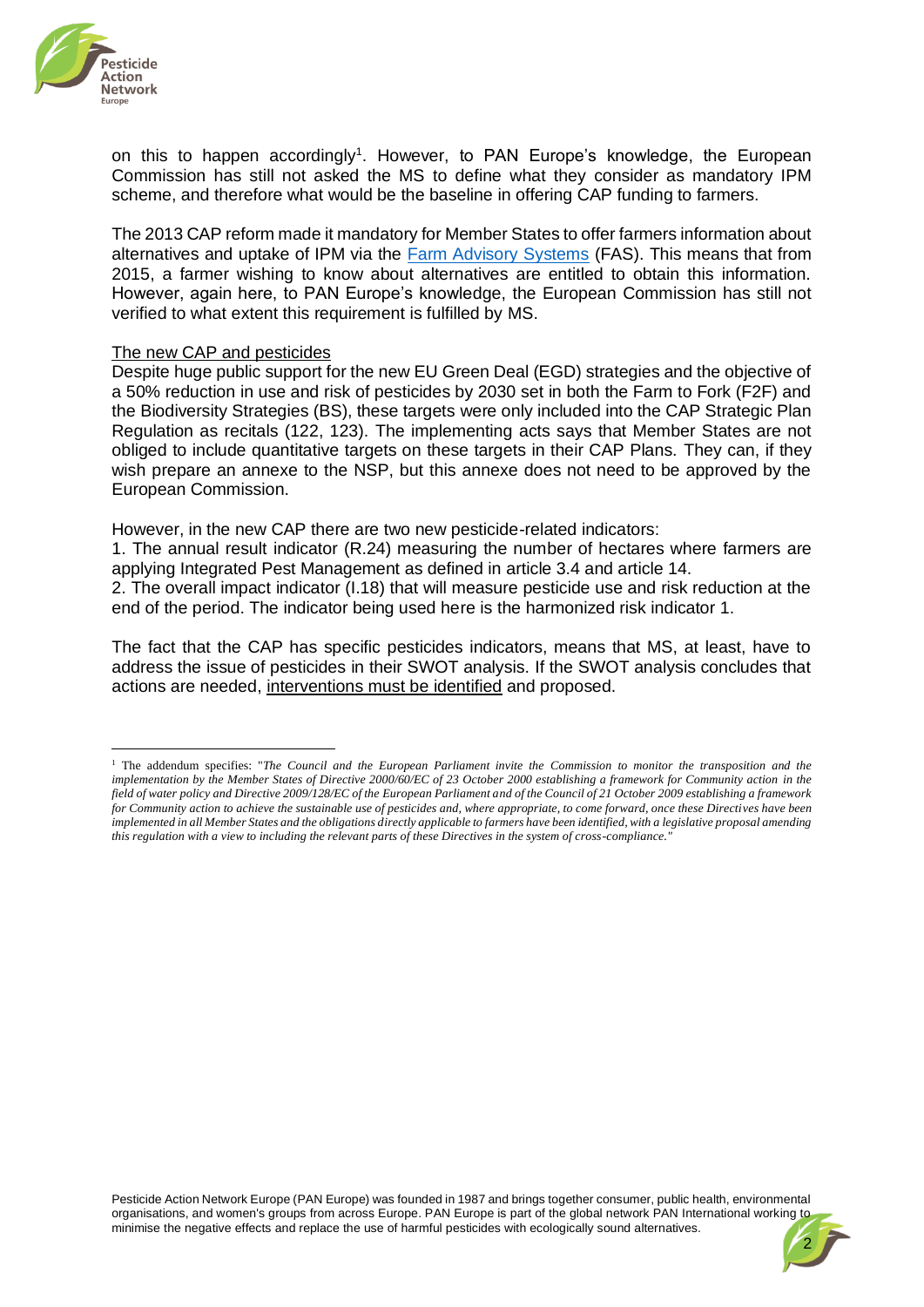

on this to happen accordingly<sup>1</sup>. However, to PAN Europe's knowledge, the European Commission has still not asked the MS to define what they consider as mandatory IPM scheme, and therefore what would be the baseline in offering CAP funding to farmers.

The 2013 CAP reform made it mandatory for Member States to offer farmers information about alternatives and uptake of IPM via the **Farm Advisory Systems** (FAS). This means that from 2015, a farmer wishing to know about alternatives are entitled to obtain this information. However, again here, to PAN Europe's knowledge, the European Commission has still not verified to what extent this requirement is fulfilled by MS.

#### The new CAP and pesticides

Despite huge public support for the new EU Green Deal (EGD) strategies and the objective of a 50% reduction in use and risk of pesticides by 2030 set in both the Farm to Fork (F2F) and the Biodiversity Strategies (BS), these targets were only included into the CAP Strategic Plan Regulation as recitals (122, 123). The implementing acts says that Member States are not obliged to include quantitative targets on these targets in their CAP Plans. They can, if they wish prepare an annexe to the NSP, but this annexe does not need to be approved by the European Commission.

However, in the new CAP there are two new pesticide-related indicators:

1. The annual result indicator (R.24) measuring the number of hectares where farmers are applying Integrated Pest Management as defined in article 3.4 and article 14.

2. The overall impact indicator (I.18) that will measure pesticide use and risk reduction at the end of the period. The indicator being used here is the harmonized risk indicator 1.

The fact that the CAP has specific pesticides indicators, means that MS, at least, have to address the issue of pesticides in their SWOT analysis. If the SWOT analysis concludes that actions are needed, interventions must be identified and proposed.



<sup>1</sup> The addendum specifies: "*The Council and the European Parliament invite the Commission to monitor the transposition and the implementation by the Member States of Directive 2000/60/EC of 23 October 2000 establishing a framework for Community action in the field of water policy and Directive 2009/128/EC of the European Parliament and of the Council of 21 October 2009 establishing a framework for Community action to achieve the sustainable use of pesticides and, where appropriate, to come forward, once these Directives have been implemented in all Member States and the obligations directly applicable to farmers have been identified, with a legislative proposal amending this regulation with a view to including the relevant parts of these Directives in the system of cross-compliance."*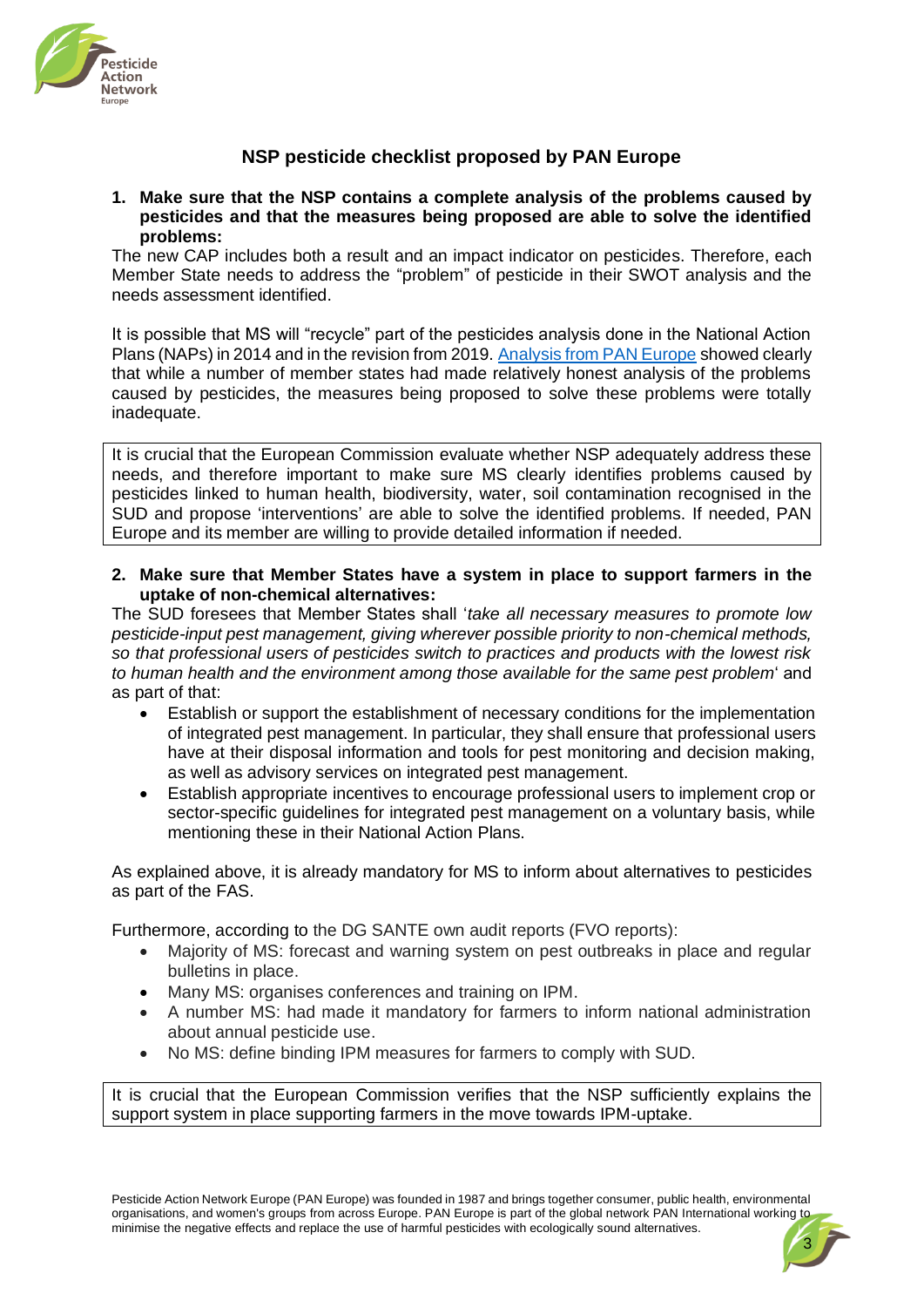

## **NSP pesticide checklist proposed by PAN Europe**

### **1. Make sure that the NSP contains a complete analysis of the problems caused by pesticides and that the measures being proposed are able to solve the identified problems:**

The new CAP includes both a result and an impact indicator on pesticides. Therefore, each Member State needs to address the "problem" of pesticide in their SWOT analysis and the needs assessment identified.

It is possible that MS will "recycle" part of the pesticides analysis done in the National Action Plans (NAPs) in 2014 and in the revision from 2019[. Analysis from PAN Europe](https://www.pan-europe.info/sites/pan-europe.info/files/public/resources/reports/pane-2013-reducing-pesticide-use-across-the-eu.pdf) showed clearly that while a number of member states had made relatively honest analysis of the problems caused by pesticides, the measures being proposed to solve these problems were totally inadequate.

It is crucial that the European Commission evaluate whether NSP adequately address these needs, and therefore important to make sure MS clearly identifies problems caused by pesticides linked to human health, biodiversity, water, soil contamination recognised in the SUD and propose 'interventions' are able to solve the identified problems. If needed, PAN Europe and its member are willing to provide detailed information if needed.

**2. Make sure that Member States have a system in place to support farmers in the uptake of non-chemical alternatives:** 

The SUD foresees that Member States shall '*take all necessary measures to promote low pesticide-input pest management, giving wherever possible priority to non-chemical methods, so that professional users of pesticides switch to practices and products with the lowest risk to human health and the environment among those available for the same pest problem*' and as part of that:

- Establish or support the establishment of necessary conditions for the implementation of integrated pest management. In particular, they shall ensure that professional users have at their disposal information and tools for pest monitoring and decision making, as well as advisory services on integrated pest management.
- Establish appropriate incentives to encourage professional users to implement crop or sector-specific guidelines for integrated pest management on a voluntary basis, while mentioning these in their National Action Plans.

As explained above, it is already mandatory for MS to inform about alternatives to pesticides as part of the FAS.

Furthermore, according to the DG SANTE own audit reports (FVO reports):

- Majority of MS: forecast and warning system on pest outbreaks in place and regular bulletins in place.
- Many MS: organises conferences and training on IPM.
- A number MS: had made it mandatory for farmers to inform national administration about annual pesticide use.
- No MS: define binding IPM measures for farmers to comply with SUD.

It is crucial that the European Commission verifies that the NSP sufficiently explains the support system in place supporting farmers in the move towards IPM-uptake.

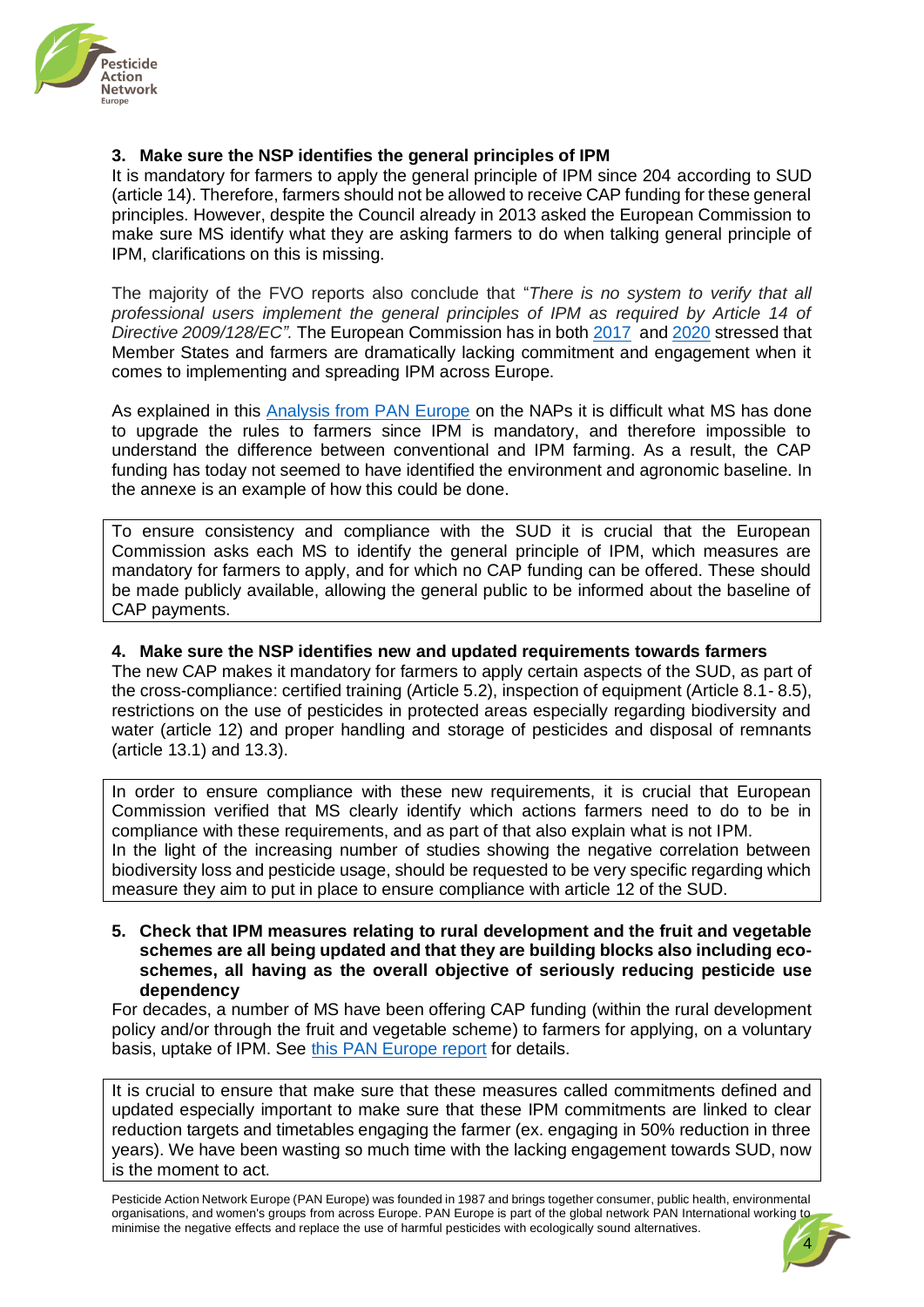

### **3. Make sure the NSP identifies the general principles of IPM**

It is mandatory for farmers to apply the general principle of IPM since 204 according to SUD (article 14). Therefore, farmers should not be allowed to receive CAP funding for these general principles. However, despite the Council already in 2013 asked the European Commission to make sure MS identify what they are asking farmers to do when talking general principle of IPM, clarifications on this is missing.

The majority of the FVO reports also conclude that "*There is no system to verify that all professional users implement the general principles of IPM as required by Article 14 of Directive 2009/128/EC".* The European Commission has in both [2017](https://ec.europa.eu/food/sites/food/files/plant/docs/pesticides_sup_report-overview_en.pdf) and [2020](https://ec.europa.eu/food/sites/food/files/plant/docs/pesticides_sud_report-act_2020_en.pdf) stressed that Member States and farmers are dramatically lacking commitment and engagement when it comes to implementing and spreading IPM across Europe.

As explained in this [Analysis from PAN Europe](https://www.pan-europe.info/sites/pan-europe.info/files/public/resources/reports/pane-2013-reducing-pesticide-use-across-the-eu.pdf) on the NAPs it is difficult what MS has done to upgrade the rules to farmers since IPM is mandatory, and therefore impossible to understand the difference between conventional and IPM farming. As a result, the CAP funding has today not seemed to have identified the environment and agronomic baseline. In the annexe is an example of how this could be done.

To ensure consistency and compliance with the SUD it is crucial that the European Commission asks each MS to identify the general principle of IPM, which measures are mandatory for farmers to apply, and for which no CAP funding can be offered. These should be made publicly available, allowing the general public to be informed about the baseline of CAP payments.

### **4. Make sure the NSP identifies new and updated requirements towards farmers**

The new CAP makes it mandatory for farmers to apply certain aspects of the SUD, as part of the cross-compliance: certified training (Article 5.2), inspection of equipment (Article 8.1- 8.5), restrictions on the use of pesticides in protected areas especially regarding biodiversity and water (article 12) and proper handling and storage of pesticides and disposal of remnants (article 13.1) and 13.3).

In order to ensure compliance with these new requirements, it is crucial that European Commission verified that MS clearly identify which actions farmers need to do to be in compliance with these requirements, and as part of that also explain what is not IPM. In the light of the increasing number of studies showing the negative correlation between biodiversity loss and pesticide usage, should be requested to be very specific regarding which measure they aim to put in place to ensure compliance with article 12 of the SUD.

#### **5. Check that IPM measures relating to rural development and the fruit and vegetable schemes are all being updated and that they are building blocks also including ecoschemes, all having as the overall objective of seriously reducing pesticide use dependency**

For decades, a number of MS have been offering CAP funding (within the rural development policy and/or through the fruit and vegetable scheme) to farmers for applying, on a voluntary basis, uptake of IPM. See [this PAN Europe report](https://www.pan-europe.info/sites/pan-europe.info/files/public/QuoteMaqX1.pdf) for details.

It is crucial to ensure that make sure that these measures called commitments defined and updated especially important to make sure that these IPM commitments are linked to clear reduction targets and timetables engaging the farmer (ex. engaging in 50% reduction in three years). We have been wasting so much time with the lacking engagement towards SUD, now is the moment to act.

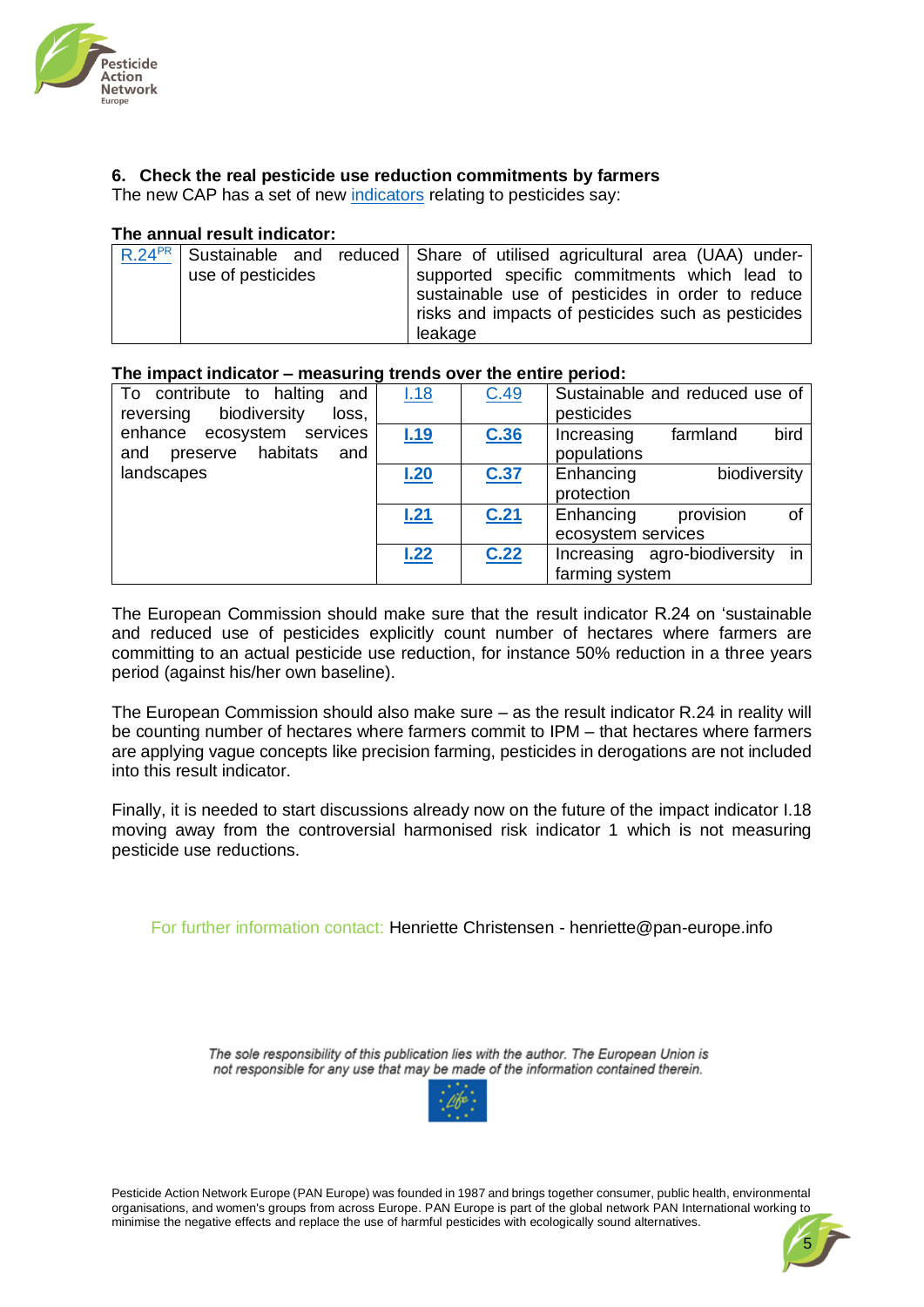

### **6. Check the real pesticide use reduction commitments by farmers**

The new CAP has a set of new [indicators](https://ec.europa.eu/transparency/expert-groups-register/screen/meetings/consult?lang=en&meetingId=33614&fromExpertGroups=true) relating to pesticides say:

### **The annual result indicator:**

|                   | $R.24^{PR}$ Sustainable and reduced Share of utilised agricultural area (UAA) under-                   |
|-------------------|--------------------------------------------------------------------------------------------------------|
| use of pesticides | supported specific commitments which lead to                                                           |
|                   | sustainable use of pesticides in order to reduce<br>risks and impacts of pesticides such as pesticides |
|                   | leakage                                                                                                |

### **The impact indicator – measuring trends over the entire period:**

| To contribute to halting<br>and    | 1.18 | C.49 | Sustainable and reduced use of  |  |  |
|------------------------------------|------|------|---------------------------------|--|--|
| biodiversity<br>loss,<br>reversing |      |      | pesticides                      |  |  |
| enhance ecosystem services         | 1.19 | C.36 | bird<br>farmland<br>Increasing  |  |  |
| preserve habitats<br>and<br>and    |      |      | populations                     |  |  |
| landscapes                         | 1.20 | C.37 | Enhancing<br>biodiversity       |  |  |
|                                    |      |      | protection                      |  |  |
|                                    | L21  | C.21 | provision<br>Enhancing<br>0f    |  |  |
|                                    |      |      | ecosystem services              |  |  |
|                                    | 1.22 | C.22 | Increasing agro-biodiversity in |  |  |
|                                    |      |      | farming system                  |  |  |

The European Commission should make sure that the result indicator R.24 on 'sustainable and reduced use of pesticides explicitly count number of hectares where farmers are committing to an actual pesticide use reduction, for instance 50% reduction in a three years period (against his/her own baseline).

The European Commission should also make sure – as the result indicator R.24 in reality will be counting number of hectares where farmers commit to IPM – that hectares where farmers are applying vague concepts like precision farming, pesticides in derogations are not included into this result indicator.

Finally, it is needed to start discussions already now on the future of the impact indicator I.18 moving away from the controversial harmonised risk indicator 1 which is not measuring pesticide use reductions.

For further information contact: Henriette Christensen - [henriette@pan-europe.info](mailto:henriette@pan-europe.info)

The sole responsibility of this publication lies with the author. The European Union is not responsible for any use that may be made of the information contained therein.